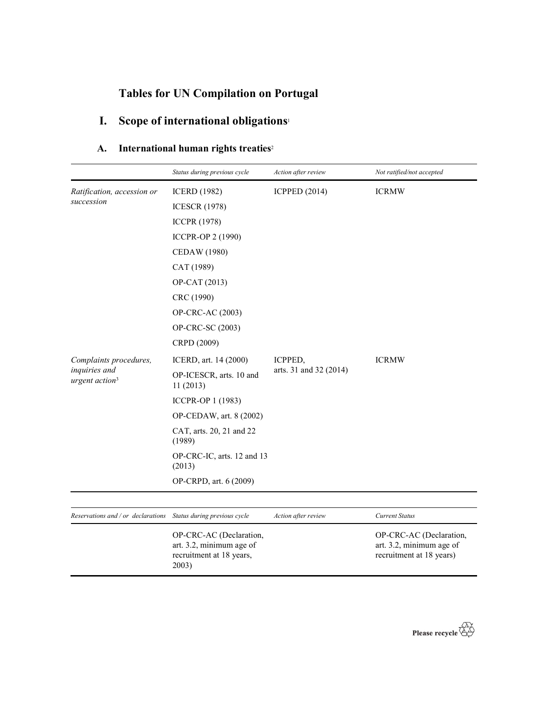## Tables for UN Compilation on Portugal

recruitment at 18 years,

2003)

# I. Scope of international obligations<sup>1</sup>

### A. International human rights treaties<sup>2</sup>

|                                                                 | Status during previous cycle                        | Action after review    | Not ratified/not accepted                           |
|-----------------------------------------------------------------|-----------------------------------------------------|------------------------|-----------------------------------------------------|
| Ratification, accession or                                      | <b>ICERD</b> (1982)                                 | <b>ICPPED (2014)</b>   | <b>ICRMW</b>                                        |
| succession                                                      | <b>ICESCR (1978)</b>                                |                        |                                                     |
|                                                                 | <b>ICCPR (1978)</b>                                 |                        |                                                     |
|                                                                 | ICCPR-OP 2 (1990)                                   |                        |                                                     |
|                                                                 | <b>CEDAW</b> (1980)                                 |                        |                                                     |
|                                                                 | CAT (1989)                                          |                        |                                                     |
|                                                                 | OP-CAT (2013)                                       |                        |                                                     |
|                                                                 | CRC (1990)                                          |                        |                                                     |
|                                                                 | OP-CRC-AC (2003)                                    |                        |                                                     |
|                                                                 | OP-CRC-SC (2003)                                    |                        |                                                     |
|                                                                 | CRPD (2009)                                         |                        |                                                     |
| Complaints procedures,                                          | ICERD, art. 14 (2000)                               | ICPPED,                | <b>ICRMW</b>                                        |
| inquiries and<br>urgent action <sup>3</sup>                     | OP-ICESCR, arts. 10 and<br>11(2013)                 | arts. 31 and 32 (2014) |                                                     |
|                                                                 | ICCPR-OP 1 (1983)                                   |                        |                                                     |
|                                                                 | OP-CEDAW, art. 8 (2002)                             |                        |                                                     |
|                                                                 | CAT, arts. 20, 21 and 22<br>(1989)                  |                        |                                                     |
|                                                                 | OP-CRC-IC, arts. 12 and 13<br>(2013)                |                        |                                                     |
|                                                                 | OP-CRPD, art. 6 (2009)                              |                        |                                                     |
|                                                                 |                                                     |                        |                                                     |
| Reservations and / or declarations Status during previous cycle |                                                     | Action after review    | <b>Current Status</b>                               |
|                                                                 | OP-CRC-AC (Declaration,<br>art. 3.2, minimum age of |                        | OP-CRC-AC (Declaration,<br>art. 3.2, minimum age of |



recruitment at 18 years)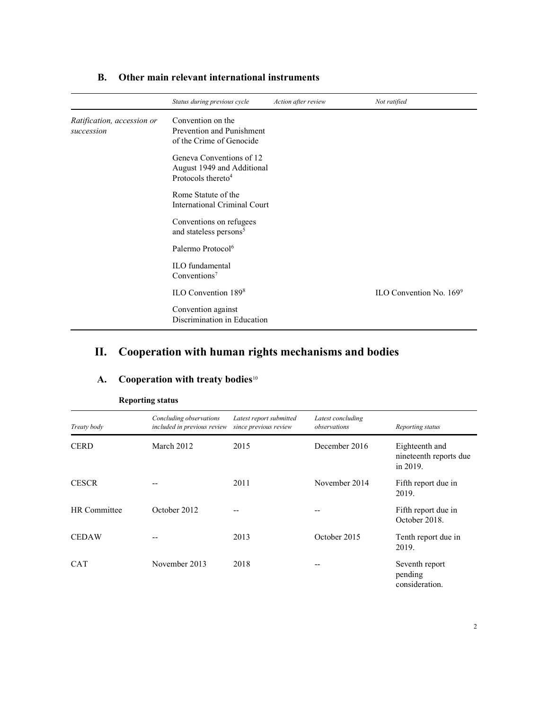|                                          | Status during previous cycle                                                             | Action after review | Not ratified               |
|------------------------------------------|------------------------------------------------------------------------------------------|---------------------|----------------------------|
| Ratification, accession or<br>succession | Convention on the<br>Prevention and Punishment<br>of the Crime of Genocide               |                     |                            |
|                                          | Geneva Conventions of 12<br>August 1949 and Additional<br>Protocols thereto <sup>4</sup> |                     |                            |
|                                          | Rome Statute of the<br><b>International Criminal Court</b>                               |                     |                            |
|                                          | Conventions on refugees<br>and stateless persons <sup>5</sup>                            |                     |                            |
|                                          | Palermo Protocol <sup>6</sup>                                                            |                     |                            |
|                                          | <b>ILO</b> fundamental<br>Conventions <sup>7</sup>                                       |                     |                            |
|                                          | ILO Convention 1898                                                                      |                     | ILO Convention No. $169^9$ |
|                                          | Convention against<br>Discrimination in Education                                        |                     |                            |

## B. Other main relevant international instruments

# II. Cooperation with human rights mechanisms and bodies

|              | <b>Reporting status</b>                                |                                                  |                                   |                                                      |  |
|--------------|--------------------------------------------------------|--------------------------------------------------|-----------------------------------|------------------------------------------------------|--|
| Treaty body  | Concluding observations<br>included in previous review | Latest report submitted<br>since previous review | Latest concluding<br>observations | Reporting status                                     |  |
| <b>CERD</b>  | March 2012                                             | 2015                                             | December 2016                     | Eighteenth and<br>nineteenth reports due<br>in 2019. |  |
| <b>CESCR</b> |                                                        | 2011                                             | November 2014                     | Fifth report due in<br>2019.                         |  |
| HR Committee | October 2012                                           | --                                               |                                   | Fifth report due in<br>October 2018.                 |  |
| <b>CEDAW</b> |                                                        | 2013                                             | October 2015                      | Tenth report due in<br>2019.                         |  |
| <b>CAT</b>   | November 2013                                          | 2018                                             |                                   | Seventh report<br>pending<br>consideration.          |  |

### A. Cooperation with treaty bodies<sup>10</sup>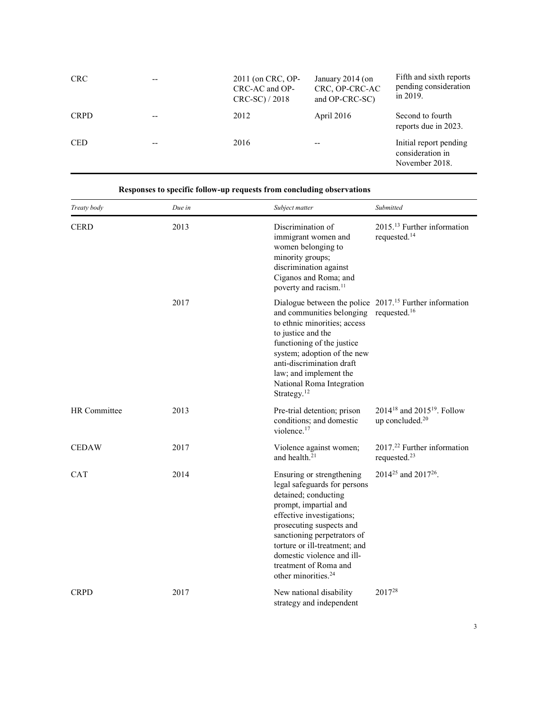| <b>CRC</b>  |       | 2011 (on CRC, OP-<br>CRC-AC and OP-<br>$CRC-SC$ ) / 2018 | January 2014 (on<br>CRC, OP-CRC-AC<br>and OP-CRC-SC) | Fifth and sixth reports<br>pending consideration<br>in 2019. |
|-------------|-------|----------------------------------------------------------|------------------------------------------------------|--------------------------------------------------------------|
| <b>CRPD</b> |       | 2012                                                     | April 2016                                           | Second to fourth<br>reports due in 2023.                     |
| <b>CED</b>  | $- -$ | 2016                                                     | $- -$                                                | Initial report pending<br>consideration in<br>November 2018. |

| Treaty body         | Due in | Subject matter                                                                                                                                                                                                                                                                                                                                                               | Submitted                                                                         |
|---------------------|--------|------------------------------------------------------------------------------------------------------------------------------------------------------------------------------------------------------------------------------------------------------------------------------------------------------------------------------------------------------------------------------|-----------------------------------------------------------------------------------|
| <b>CERD</b>         | 2013   | Discrimination of<br>immigrant women and<br>women belonging to<br>minority groups;<br>discrimination against<br>Ciganos and Roma; and<br>poverty and racism. <sup>11</sup>                                                                                                                                                                                                   | 2015. <sup>13</sup> Further information<br>requested. <sup>14</sup>               |
|                     | 2017   | Dialogue between the police 2017. <sup>15</sup> Further information<br>and communities belonging<br>to ethnic minorities; access<br>to justice and the<br>functioning of the justice<br>system; adoption of the new<br>anti-discrimination draft<br>law; and implement the<br>National Roma Integration<br>Strategy. $12$                                                    | requested. <sup>16</sup>                                                          |
| <b>HR</b> Committee | 2013   | Pre-trial detention; prison<br>conditions; and domestic<br>violence. <sup>17</sup>                                                                                                                                                                                                                                                                                           | 2014 <sup>18</sup> and 2015 <sup>19</sup> . Follow<br>up concluded. <sup>20</sup> |
| <b>CEDAW</b>        | 2017   | Violence against women;<br>and health. <sup>21</sup>                                                                                                                                                                                                                                                                                                                         | 2017. <sup>22</sup> Further information<br>requested. <sup>23</sup>               |
| <b>CAT</b>          | 2014   | 2014 <sup>25</sup> and 2017 <sup>26</sup> .<br>Ensuring or strengthening<br>legal safeguards for persons<br>detained; conducting<br>prompt, impartial and<br>effective investigations;<br>prosecuting suspects and<br>sanctioning perpetrators of<br>torture or ill-treatment; and<br>domestic violence and ill-<br>treatment of Roma and<br>other minorities. <sup>24</sup> |                                                                                   |
| <b>CRPD</b>         | 2017   | New national disability<br>strategy and independent                                                                                                                                                                                                                                                                                                                          | 2017 <sup>28</sup>                                                                |

Responses to specific follow-up requests from concluding observations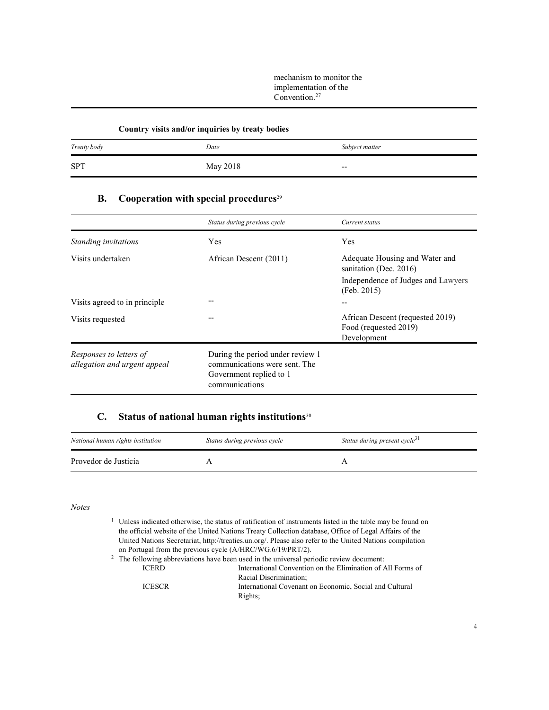mechanism to monitor the implementation of the  $Convention.<sup>27</sup>$ 

#### Country visits and/or inquiries by treaty bodies

| Treaty body | Date     | Subject matter |
|-------------|----------|----------------|
| <b>SPT</b>  | May 2018 | $-$            |

### B. Cooperation with special procedures<sup>29</sup>

|                                                         | Status during previous cycle                                                                                   | Current status                                                           |
|---------------------------------------------------------|----------------------------------------------------------------------------------------------------------------|--------------------------------------------------------------------------|
| Standing invitations                                    | <b>Yes</b>                                                                                                     | <b>Yes</b>                                                               |
| Visits undertaken                                       | African Descent (2011)                                                                                         | Adequate Housing and Water and<br>sanitation (Dec. 2016)                 |
|                                                         |                                                                                                                | Independence of Judges and Lawyers<br>(Feb. 2015)                        |
| Visits agreed to in principle                           |                                                                                                                | $-$                                                                      |
| Visits requested                                        |                                                                                                                | African Descent (requested 2019)<br>Food (requested 2019)<br>Development |
| Responses to letters of<br>allegation and urgent appeal | During the period under review 1<br>communications were sent. The<br>Government replied to 1<br>communications |                                                                          |

## C. Status of national human rights institutions $30$

| National human rights institution | Status during previous cycle | Status during present cycle <sup>31</sup> |
|-----------------------------------|------------------------------|-------------------------------------------|
| Provedor de Justicia              |                              |                                           |

Notes

|                                                                                                          |                                                            | <sup>1</sup> Unless indicated otherwise, the status of ratification of instruments listed in the table may be found on |
|----------------------------------------------------------------------------------------------------------|------------------------------------------------------------|------------------------------------------------------------------------------------------------------------------------|
|                                                                                                          |                                                            | the official website of the United Nations Treaty Collection database, Office of Legal Affairs of the                  |
| United Nations Secretariat, http://treaties.un.org/. Please also refer to the United Nations compilation |                                                            |                                                                                                                        |
|                                                                                                          | on Portugal from the previous cycle (A/HRC/WG.6/19/PRT/2). |                                                                                                                        |
|                                                                                                          |                                                            | $2\degree$ The following abbreviations have been used in the universal periodic review document:                       |
|                                                                                                          | <b>ICERD</b>                                               | International Convention on the Elimination of All Forms of                                                            |
|                                                                                                          |                                                            | Racial Discrimination;                                                                                                 |
|                                                                                                          | <b>ICESCR</b>                                              | International Covenant on Economic, Social and Cultural                                                                |
|                                                                                                          |                                                            | Rights;                                                                                                                |
|                                                                                                          |                                                            |                                                                                                                        |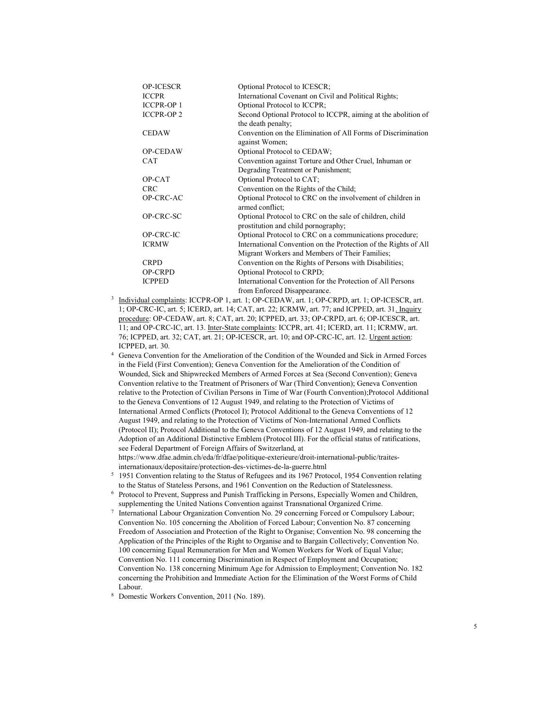| <b>OP-ICESCR</b>  | Optional Protocol to ICESCR;                                    |
|-------------------|-----------------------------------------------------------------|
| <b>ICCPR</b>      | International Covenant on Civil and Political Rights;           |
| <b>ICCPR-OP1</b>  | Optional Protocol to ICCPR;                                     |
| <b>ICCPR-OP 2</b> | Second Optional Protocol to ICCPR, aiming at the abolition of   |
|                   | the death penalty;                                              |
| <b>CEDAW</b>      | Convention on the Elimination of All Forms of Discrimination    |
|                   | against Women;                                                  |
| OP-CEDAW          | Optional Protocol to CEDAW;                                     |
| <b>CAT</b>        | Convention against Torture and Other Cruel, Inhuman or          |
|                   | Degrading Treatment or Punishment;                              |
| OP-CAT            | Optional Protocol to CAT;                                       |
| <b>CRC</b>        | Convention on the Rights of the Child;                          |
| OP-CRC-AC         | Optional Protocol to CRC on the involvement of children in      |
|                   | armed conflict;                                                 |
| OP-CRC-SC         | Optional Protocol to CRC on the sale of children, child         |
|                   | prostitution and child pornography,                             |
| OP-CRC-IC         | Optional Protocol to CRC on a communications procedure;         |
| <b>ICRMW</b>      | International Convention on the Protection of the Rights of All |
|                   | Migrant Workers and Members of Their Families;                  |
| <b>CRPD</b>       | Convention on the Rights of Persons with Disabilities;          |
| <b>OP-CRPD</b>    | Optional Protocol to CRPD;                                      |
| <b>ICPPED</b>     | International Convention for the Protection of All Persons      |
|                   | from Enforced Disappearance.                                    |

- <sup>3</sup> Individual complaints: ICCPR-OP 1, art. 1; OP-CEDAW, art. 1; OP-CRPD, art. 1; OP-ICESCR, art. 1; OP-CRC-IC, art. 5; ICERD, art. 14; CAT, art. 22; ICRMW, art. 77; and ICPPED, art. 31. Inquiry procedure: OP-CEDAW, art. 8; CAT, art. 20; ICPPED, art. 33; OP-CRPD, art. 6; OP-ICESCR, art. 11; and OP-CRC-IC, art. 13. Inter-State complaints: ICCPR, art. 41; ICERD, art. 11; ICRMW, art. 76; ICPPED, art. 32; CAT, art. 21; OP-ICESCR, art. 10; and OP-CRC-IC, art. 12. Urgent action: ICPPED, art. 30.
- 4 Geneva Convention for the Amelioration of the Condition of the Wounded and Sick in Armed Forces in the Field (First Convention); Geneva Convention for the Amelioration of the Condition of Wounded, Sick and Shipwrecked Members of Armed Forces at Sea (Second Convention); Geneva Convention relative to the Treatment of Prisoners of War (Third Convention); Geneva Convention relative to the Protection of Civilian Persons in Time of War (Fourth Convention);Protocol Additional to the Geneva Conventions of 12 August 1949, and relating to the Protection of Victims of International Armed Conflicts (Protocol I); Protocol Additional to the Geneva Conventions of 12 August 1949, and relating to the Protection of Victims of Non-International Armed Conflicts (Protocol II); Protocol Additional to the Geneva Conventions of 12 August 1949, and relating to the Adoption of an Additional Distinctive Emblem (Protocol III). For the official status of ratifications, see Federal Department of Foreign Affairs of Switzerland, at https://www.dfae.admin.ch/eda/fr/dfae/politique-exterieure/droit-international-public/traites-

internationaux/depositaire/protection-des-victimes-de-la-guerre.html

- 5 1951 Convention relating to the Status of Refugees and its 1967 Protocol, 1954 Convention relating to the Status of Stateless Persons, and 1961 Convention on the Reduction of Statelessness.
- 6 Protocol to Prevent, Suppress and Punish Trafficking in Persons, Especially Women and Children, supplementing the United Nations Convention against Transnational Organized Crime.
- 7 International Labour Organization Convention No. 29 concerning Forced or Compulsory Labour; Convention No. 105 concerning the Abolition of Forced Labour; Convention No. 87 concerning Freedom of Association and Protection of the Right to Organise; Convention No. 98 concerning the Application of the Principles of the Right to Organise and to Bargain Collectively; Convention No. 100 concerning Equal Remuneration for Men and Women Workers for Work of Equal Value; Convention No. 111 concerning Discrimination in Respect of Employment and Occupation; Convention No. 138 concerning Minimum Age for Admission to Employment; Convention No. 182 concerning the Prohibition and Immediate Action for the Elimination of the Worst Forms of Child Labour.
- 8 Domestic Workers Convention, 2011 (No. 189).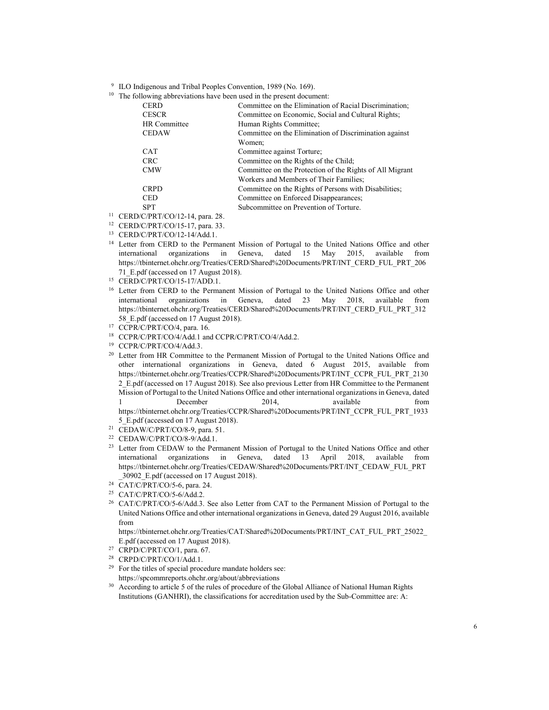9 ILO Indigenous and Tribal Peoples Convention, 1989 (No. 169).

 $10$  The following abbreviations have been used in the present document:

| <b>CERD</b>  | Committee on the Elimination of Racial Discrimination;   |
|--------------|----------------------------------------------------------|
| <b>CESCR</b> | Committee on Economic, Social and Cultural Rights;       |
| HR Committee | Human Rights Committee;                                  |
| <b>CEDAW</b> | Committee on the Elimination of Discrimination against   |
|              | Women:                                                   |
| <b>CAT</b>   | Committee against Torture;                               |
| <b>CRC</b>   | Committee on the Rights of the Child;                    |
| <b>CMW</b>   | Committee on the Protection of the Rights of All Migrant |
|              | Workers and Members of Their Families;                   |
| <b>CRPD</b>  | Committee on the Rights of Persons with Disabilities;    |
| <b>CED</b>   | Committee on Enforced Disappearances;                    |
| <b>SPT</b>   | Subcommittee on Prevention of Torture.                   |
|              |                                                          |

<sup>11</sup> CERD/C/PRT/CO/12-14, para. 28.

<sup>12</sup> CERD/C/PRT/CO/15-17, para. 33.

- <sup>13</sup> CERD/C/PRT/CO/12-14/Add.1.
- <sup>14</sup> Letter from CERD to the Permanent Mission of Portugal to the United Nations Office and other international organizations in Geneva, dated 15 May 2015, available from https://tbinternet.ohchr.org/Treaties/CERD/Shared%20Documents/PRT/INT\_CERD\_FUL\_PRT\_206 71\_E.pdf (accessed on 17 August 2018).
- <sup>15</sup> CERD/C/PRT/CO/15-17/ADD.1.
- <sup>16</sup> Letter from CERD to the Permanent Mission of Portugal to the United Nations Office and other international organizations in Geneva, dated 23 May 2018, available from https://tbinternet.ohchr.org/Treaties/CERD/Shared%20Documents/PRT/INT\_CERD\_FUL\_PRT\_312 58 E.pdf (accessed on 17 August 2018).
- <sup>17</sup> CCPR/C/PRT/CO/4, para. 16.
- <sup>18</sup> CCPR/C/PRT/CO/4/Add.1 and CCPR/C/PRT/CO/4/Add.2.
- <sup>19</sup> CCPR/C/PRT/CO/4/Add.3.
- <sup>20</sup> Letter from HR Committee to the Permanent Mission of Portugal to the United Nations Office and other international organizations in Geneva, dated 6 August 2015, available from https://tbinternet.ohchr.org/Treaties/CCPR/Shared%20Documents/PRT/INT\_CCPR\_FUL\_PRT\_2130 2\_E.pdf (accessed on 17 August 2018). See also previous Letter from HR Committee to the Permanent Mission of Portugal to the United Nations Office and other international organizations in Geneva, dated 1 December 2014, available from https://tbinternet.ohchr.org/Treaties/CCPR/Shared%20Documents/PRT/INT\_CCPR\_FUL\_PRT\_1933 5\_E.pdf (accessed on 17 August 2018).
- <sup>21</sup> CEDAW/C/PRT/CO/8-9, para. 51.
- <sup>22</sup> CEDAW/C/PRT/CO/8-9/Add.1.
- <sup>23</sup> Letter from CEDAW to the Permanent Mission of Portugal to the United Nations Office and other international organizations in Geneva, dated 13 April 2018, available from https://tbinternet.ohchr.org/Treaties/CEDAW/Shared%20Documents/PRT/INT\_CEDAW\_FUL\_PRT \_30902\_E.pdf (accessed on 17 August 2018).
- <sup>24</sup> CAT/C/PRT/CO/5-6, para. 24.
- <sup>25</sup> CAT/C/PRT/CO/5-6/Add.2.
- <sup>26</sup> CAT/C/PRT/CO/5-6/Add.3. See also Letter from CAT to the Permanent Mission of Portugal to the United Nations Office and other international organizations in Geneva, dated 29 August 2016, available from
- https://tbinternet.ohchr.org/Treaties/CAT/Shared%20Documents/PRT/INT\_CAT\_FUL\_PRT\_25022\_ E.pdf (accessed on 17 August 2018).
- <sup>27</sup> CRPD/C/PRT/CO/1, para. 67.
- <sup>28</sup> CRPD/C/PRT/CO/1/Add.1.
- <sup>29</sup> For the titles of special procedure mandate holders see:
- https://spcommreports.ohchr.org/about/abbreviations
- <sup>30</sup> According to article 5 of the rules of procedure of the Global Alliance of National Human Rights Institutions (GANHRI), the classifications for accreditation used by the Sub-Committee are: A: